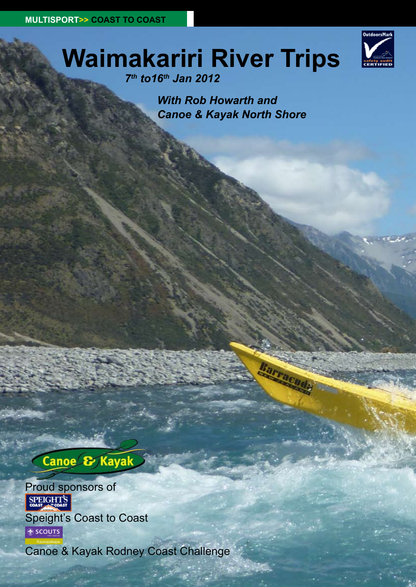

# **Waimakariri River Trips**

*7th to16th Jan 2012* 

*With Rob Howarth and Canoe & Kayak North Shore*

# Canoe & Kayak

Proud sponsors of

Speight's Coast to Coast SCOUTS

Canoe & Kayak Rodney Coast Challenge

**2 2 ISSUE SIXTY One • Winter 2011 www.kayaknz.co.nz**